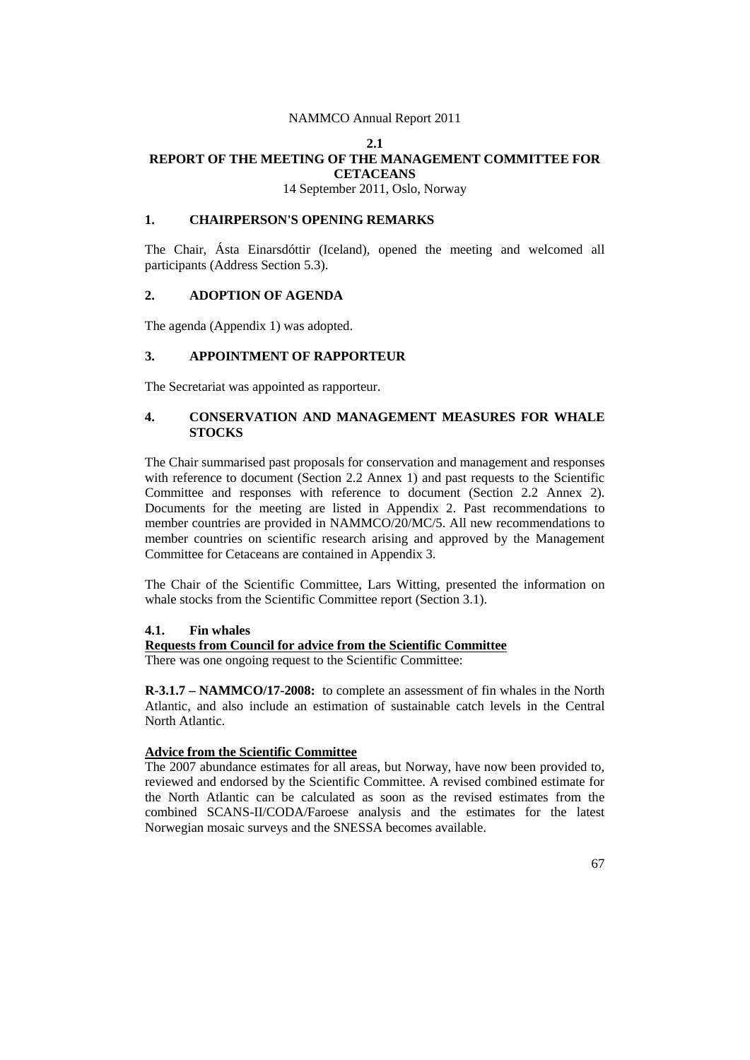#### **2.1**

#### **REPORT OF THE MEETING OF THE MANAGEMENT COMMITTEE FOR CETACEANS**

14 September 2011, Oslo, Norway

## **1. CHAIRPERSON'S OPENING REMARKS**

The Chair, Ásta Einarsdóttir (Iceland), opened the meeting and welcomed all participants (Address Section 5.3).

## **2. ADOPTION OF AGENDA**

The agenda (Appendix 1) was adopted.

## **3. APPOINTMENT OF RAPPORTEUR**

The Secretariat was appointed as rapporteur.

## **4. CONSERVATION AND MANAGEMENT MEASURES FOR WHALE STOCKS**

The Chair summarised past proposals for conservation and management and responses with reference to document (Section 2.2 Annex 1) and past requests to the Scientific Committee and responses with reference to document (Section 2.2 Annex 2). Documents for the meeting are listed in Appendix 2. Past recommendations to member countries are provided in NAMMCO/20/MC/5. All new recommendations to member countries on scientific research arising and approved by the Management Committee for Cetaceans are contained in Appendix 3.

The Chair of the Scientific Committee, Lars Witting, presented the information on whale stocks from the Scientific Committee report (Section 3.1).

## **4.1. Fin whales**

## **Requests from Council for advice from the Scientific Committee**

There was one ongoing request to the Scientific Committee:

**R-3.1.7 – NAMMCO/17-2008:** to complete an assessment of fin whales in the North Atlantic, and also include an estimation of sustainable catch levels in the Central North Atlantic.

# **Advice from the Scientific Committee**

The 2007 abundance estimates for all areas, but Norway, have now been provided to, reviewed and endorsed by the Scientific Committee. A revised combined estimate for the North Atlantic can be calculated as soon as the revised estimates from the combined SCANS-II/CODA/Faroese analysis and the estimates for the latest Norwegian mosaic surveys and the SNESSA becomes available.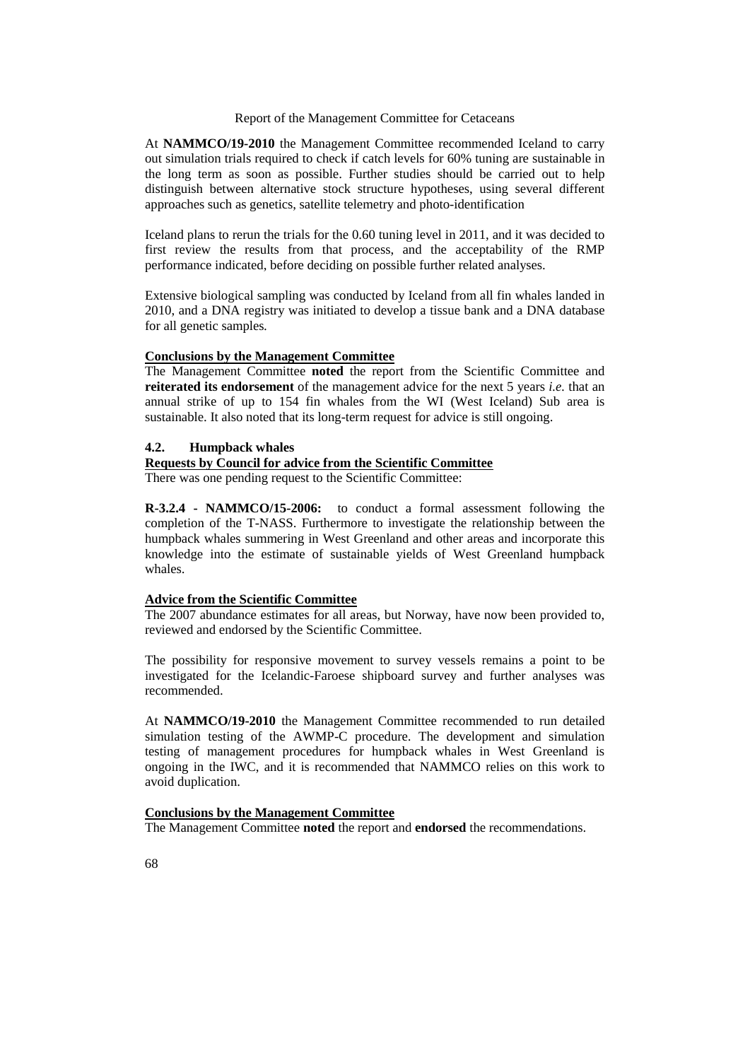At **NAMMCO/19-2010** the Management Committee recommended Iceland to carry out simulation trials required to check if catch levels for 60% tuning are sustainable in the long term as soon as possible. Further studies should be carried out to help distinguish between alternative stock structure hypotheses, using several different approaches such as genetics, satellite telemetry and photo-identification

Iceland plans to rerun the trials for the 0.60 tuning level in 2011, and it was decided to first review the results from that process, and the acceptability of the RMP performance indicated, before deciding on possible further related analyses.

Extensive biological sampling was conducted by Iceland from all fin whales landed in 2010, and a DNA registry was initiated to develop a tissue bank and a DNA database for all genetic samples*.*

#### **Conclusions by the Management Committee**

The Management Committee **noted** the report from the Scientific Committee and **reiterated its endorsement** of the management advice for the next 5 years *i.e.* that an annual strike of up to 154 fin whales from the WI (West Iceland) Sub area is sustainable. It also noted that its long-term request for advice is still ongoing.

## **4.2. Humpback whales**

# **Requests by Council for advice from the Scientific Committee**

There was one pending request to the Scientific Committee:

**R-3.2.4 - NAMMCO/15-2006:** to conduct a formal assessment following the completion of the T-NASS. Furthermore to investigate the relationship between the humpback whales summering in West Greenland and other areas and incorporate this knowledge into the estimate of sustainable yields of West Greenland humpback whales.

## **Advice from the Scientific Committee**

The 2007 abundance estimates for all areas, but Norway, have now been provided to, reviewed and endorsed by the Scientific Committee.

The possibility for responsive movement to survey vessels remains a point to be investigated for the Icelandic-Faroese shipboard survey and further analyses was recommended.

At **NAMMCO/19-2010** the Management Committee recommended to run detailed simulation testing of the AWMP-C procedure. The development and simulation testing of management procedures for humpback whales in West Greenland is ongoing in the IWC, and it is recommended that NAMMCO relies on this work to avoid duplication.

## **Conclusions by the Management Committee**

The Management Committee **noted** the report and **endorsed** the recommendations.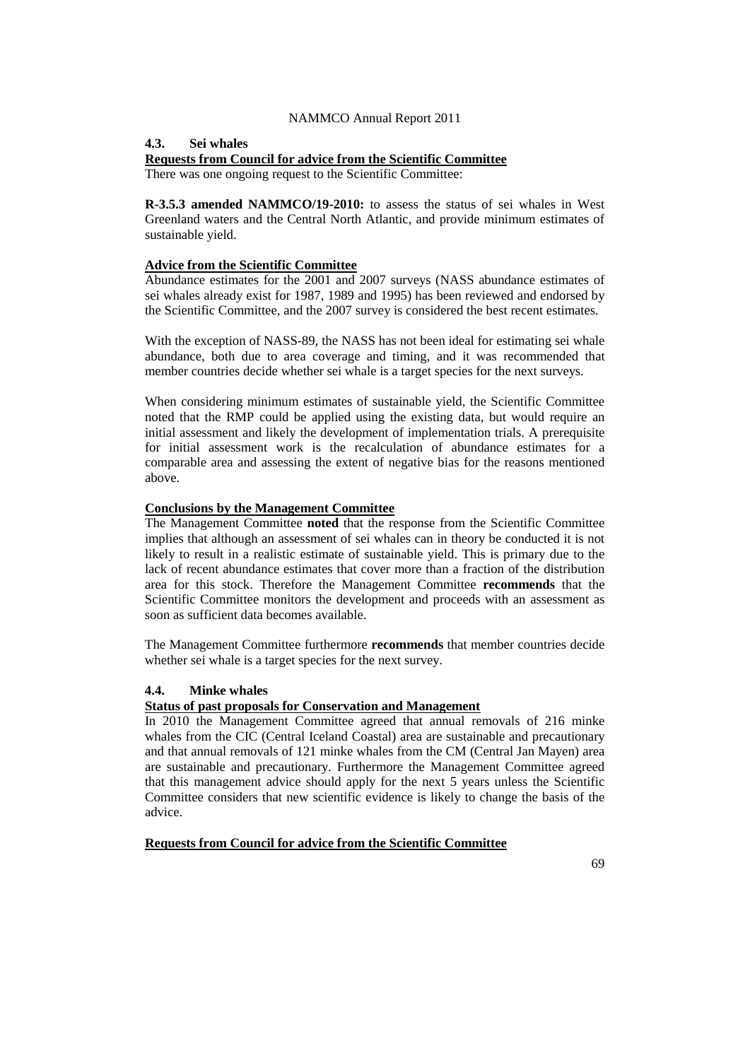#### **4.3. Sei whales**

#### **Requests from Council for advice from the Scientific Committee**

There was one ongoing request to the Scientific Committee:

**R-3.5.3 amended NAMMCO/19-2010:** to assess the status of sei whales in West Greenland waters and the Central North Atlantic, and provide minimum estimates of sustainable yield.

## **Advice from the Scientific Committee**

Abundance estimates for the 2001 and 2007 surveys (NASS abundance estimates of sei whales already exist for 1987, 1989 and 1995) has been reviewed and endorsed by the Scientific Committee, and the 2007 survey is considered the best recent estimates.

With the exception of NASS-89, the NASS has not been ideal for estimating sei whale abundance, both due to area coverage and timing, and it was recommended that member countries decide whether sei whale is a target species for the next surveys.

When considering minimum estimates of sustainable yield, the Scientific Committee noted that the RMP could be applied using the existing data, but would require an initial assessment and likely the development of implementation trials. A prerequisite for initial assessment work is the recalculation of abundance estimates for a comparable area and assessing the extent of negative bias for the reasons mentioned above.

#### **Conclusions by the Management Committee**

The Management Committee **noted** that the response from the Scientific Committee implies that although an assessment of sei whales can in theory be conducted it is not likely to result in a realistic estimate of sustainable yield. This is primary due to the lack of recent abundance estimates that cover more than a fraction of the distribution area for this stock. Therefore the Management Committee **recommends** that the Scientific Committee monitors the development and proceeds with an assessment as soon as sufficient data becomes available.

The Management Committee furthermore **recommends** that member countries decide whether sei whale is a target species for the next survey.

## **4.4. Minke whales**

#### **Status of past proposals for Conservation and Management**

In 2010 the Management Committee agreed that annual removals of 216 minke whales from the CIC (Central Iceland Coastal) area are sustainable and precautionary and that annual removals of 121 minke whales from the CM (Central Jan Mayen) area are sustainable and precautionary. Furthermore the Management Committee agreed that this management advice should apply for the next 5 years unless the Scientific Committee considers that new scientific evidence is likely to change the basis of the advice.

**Requests from Council for advice from the Scientific Committee**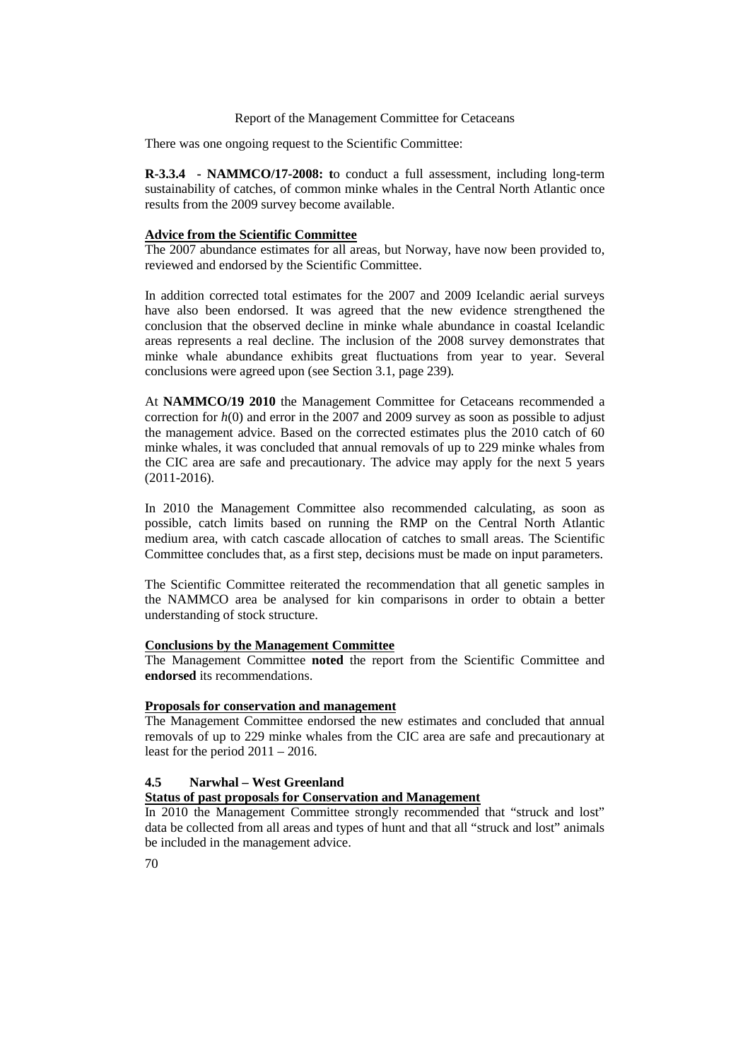There was one ongoing request to the Scientific Committee:

**R-3.3.4 - NAMMCO/17-2008: t**o conduct a full assessment, including long-term sustainability of catches, of common minke whales in the Central North Atlantic once results from the 2009 survey become available.

#### **Advice from the Scientific Committee**

The 2007 abundance estimates for all areas, but Norway, have now been provided to, reviewed and endorsed by the Scientific Committee.

In addition corrected total estimates for the 2007 and 2009 Icelandic aerial surveys have also been endorsed. It was agreed that the new evidence strengthened the conclusion that the observed decline in minke whale abundance in coastal Icelandic areas represents a real decline. The inclusion of the 2008 survey demonstrates that minke whale abundance exhibits great fluctuations from year to year. Several conclusions were agreed upon (see Section 3.1, page 239)*.*

At **NAMMCO/19 2010** the Management Committee for Cetaceans recommended a correction for *h*(0) and error in the 2007 and 2009 survey as soon as possible to adjust the management advice. Based on the corrected estimates plus the 2010 catch of 60 minke whales, it was concluded that annual removals of up to 229 minke whales from the CIC area are safe and precautionary. The advice may apply for the next 5 years (2011-2016).

In 2010 the Management Committee also recommended calculating, as soon as possible, catch limits based on running the RMP on the Central North Atlantic medium area, with catch cascade allocation of catches to small areas. The Scientific Committee concludes that, as a first step, decisions must be made on input parameters.

The Scientific Committee reiterated the recommendation that all genetic samples in the NAMMCO area be analysed for kin comparisons in order to obtain a better understanding of stock structure.

## **Conclusions by the Management Committee**

The Management Committee **noted** the report from the Scientific Committee and **endorsed** its recommendations.

#### **Proposals for conservation and management**

The Management Committee endorsed the new estimates and concluded that annual removals of up to 229 minke whales from the CIC area are safe and precautionary at least for the period  $2011 - 2016$ .

#### **4.5 Narwhal – West Greenland**

# **Status of past proposals for Conservation and Management**

In 2010 the Management Committee strongly recommended that "struck and lost" data be collected from all areas and types of hunt and that all "struck and lost" animals be included in the management advice.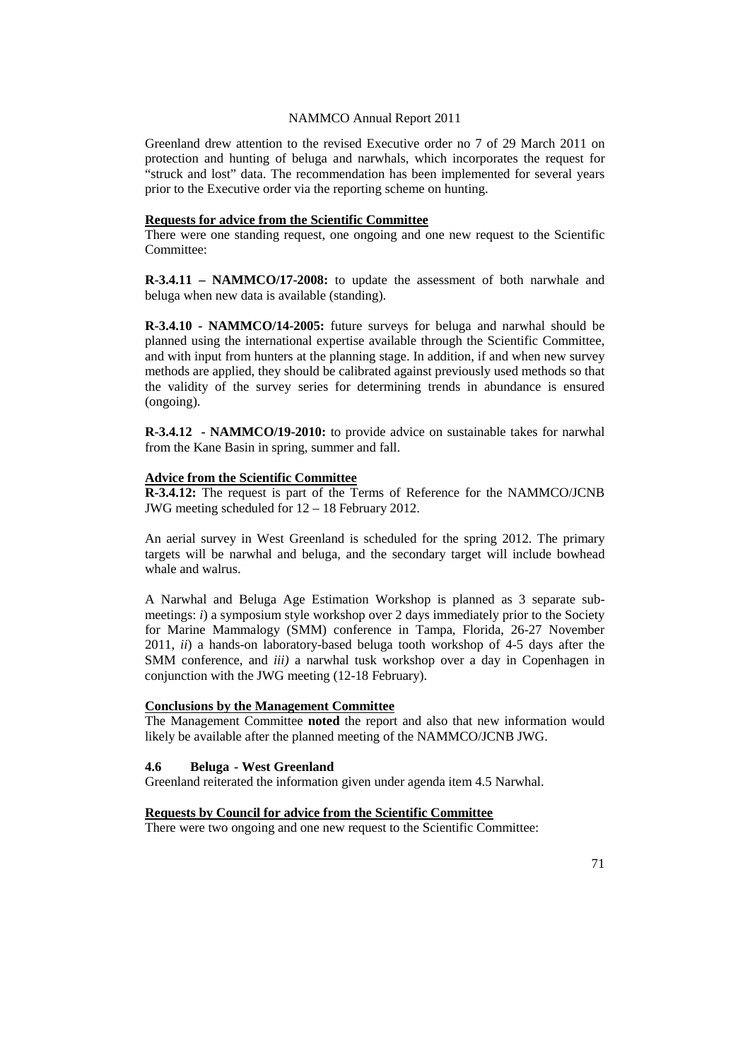Greenland drew attention to the revised Executive order no 7 of 29 March 2011 on protection and hunting of beluga and narwhals, which incorporates the request for "struck and lost" data. The recommendation has been implemented for several years prior to the Executive order via the reporting scheme on hunting.

# **Requests for advice from the Scientific Committee**

There were one standing request, one ongoing and one new request to the Scientific Committee:

**R-3.4.11 – NAMMCO/17-2008:** to update the assessment of both narwhale and beluga when new data is available (standing).

**R-3.4.10 - NAMMCO/14-2005:** future surveys for beluga and narwhal should be planned using the international expertise available through the Scientific Committee, and with input from hunters at the planning stage. In addition, if and when new survey methods are applied, they should be calibrated against previously used methods so that the validity of the survey series for determining trends in abundance is ensured (ongoing).

**R-3.4.12 - NAMMCO/19-2010:** to provide advice on sustainable takes for narwhal from the Kane Basin in spring, summer and fall.

#### **Advice from the Scientific Committee**

**R-3.4.12:** The request is part of the Terms of Reference for the NAMMCO/JCNB JWG meeting scheduled for 12 – 18 February 2012.

An aerial survey in West Greenland is scheduled for the spring 2012. The primary targets will be narwhal and beluga, and the secondary target will include bowhead whale and walrus.

A Narwhal and Beluga Age Estimation Workshop is planned as 3 separate submeetings: *i*) a symposium style workshop over 2 days immediately prior to the Society for Marine Mammalogy (SMM) conference in Tampa, Florida, 26-27 November 2011, *ii*) a hands-on laboratory-based beluga tooth workshop of 4-5 days after the SMM conference, and *iii)* a narwhal tusk workshop over a day in Copenhagen in conjunction with the JWG meeting (12-18 February).

#### **Conclusions by the Management Committee**

The Management Committee **noted** the report and also that new information would likely be available after the planned meeting of the NAMMCO/JCNB JWG.

#### **4.6 Beluga - West Greenland**

Greenland reiterated the information given under agenda item 4.5 Narwhal.

## **Requests by Council for advice from the Scientific Committee**

There were two ongoing and one new request to the Scientific Committee: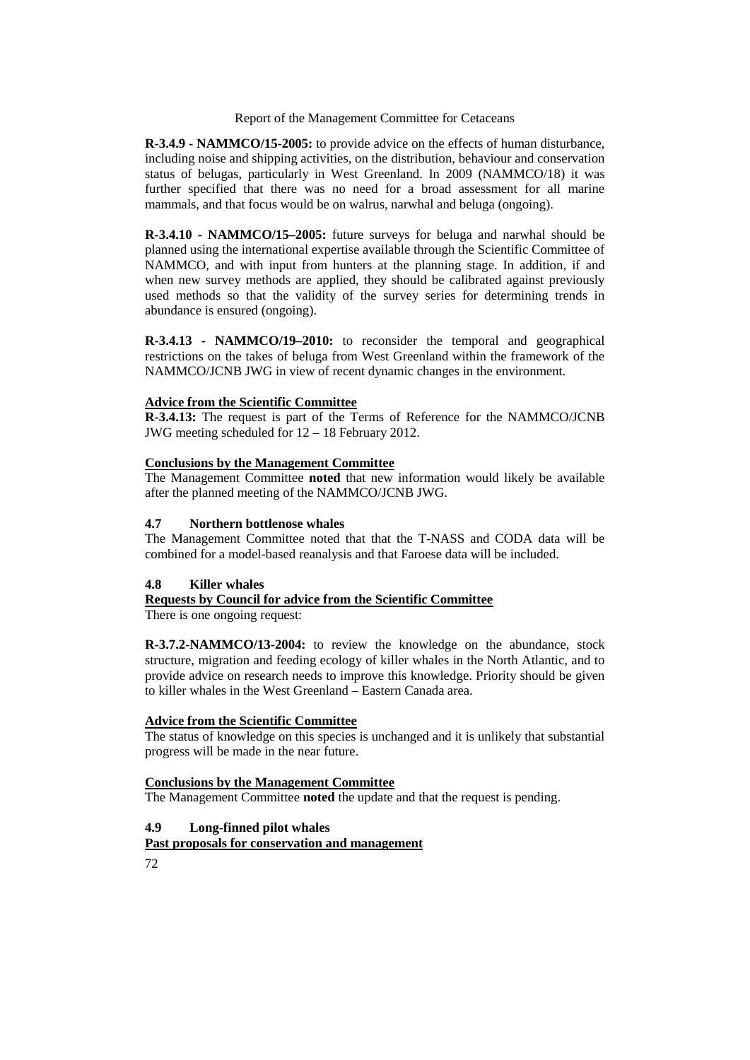**R-3.4.9 - NAMMCO/15-2005:** to provide advice on the effects of human disturbance, including noise and shipping activities, on the distribution, behaviour and conservation status of belugas, particularly in West Greenland. In 2009 (NAMMCO/18) it was further specified that there was no need for a broad assessment for all marine mammals, and that focus would be on walrus, narwhal and beluga (ongoing).

**R-3.4.10 - NAMMCO/15–2005:** future surveys for beluga and narwhal should be planned using the international expertise available through the Scientific Committee of NAMMCO, and with input from hunters at the planning stage. In addition, if and when new survey methods are applied, they should be calibrated against previously used methods so that the validity of the survey series for determining trends in abundance is ensured (ongoing).

**R-3.4.13 - NAMMCO/19–2010:** to reconsider the temporal and geographical restrictions on the takes of beluga from West Greenland within the framework of the NAMMCO/JCNB JWG in view of recent dynamic changes in the environment.

## **Advice from the Scientific Committee**

**R-3.4.13:** The request is part of the Terms of Reference for the NAMMCO/JCNB JWG meeting scheduled for 12 – 18 February 2012.

## **Conclusions by the Management Committee**

The Management Committee **noted** that new information would likely be available after the planned meeting of the NAMMCO/JCNB JWG.

## **4.7 Northern bottlenose whales**

The Management Committee noted that that the T-NASS and CODA data will be combined for a model-based reanalysis and that Faroese data will be included.

## **4.8 Killer whales**

# **Requests by Council for advice from the Scientific Committee**

There is one ongoing request:

**R-3.7.2-NAMMCO/13-2004:** to review the knowledge on the abundance, stock structure, migration and feeding ecology of killer whales in the North Atlantic, and to provide advice on research needs to improve this knowledge. Priority should be given to killer whales in the West Greenland – Eastern Canada area.

## **Advice from the Scientific Committee**

The status of knowledge on this species is unchanged and it is unlikely that substantial progress will be made in the near future.

## **Conclusions by the Management Committee**

The Management Committee **noted** the update and that the request is pending.

# **4.9 Long-finned pilot whales**

# **Past proposals for conservation and management**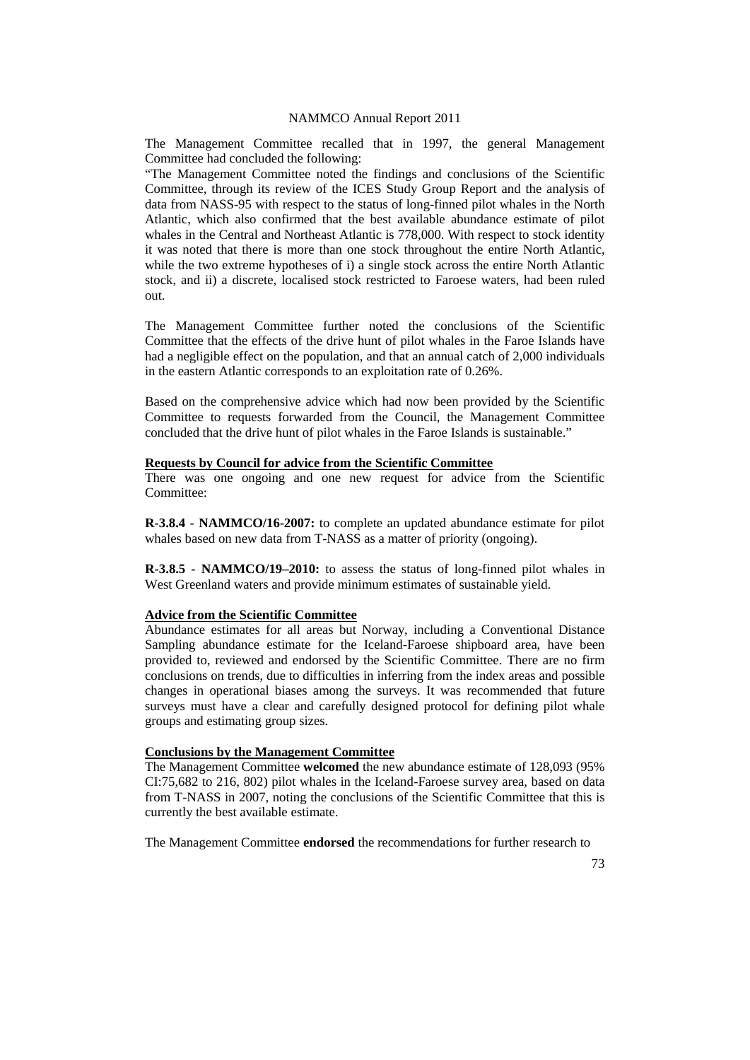The Management Committee recalled that in 1997, the general Management Committee had concluded the following:

"The Management Committee noted the findings and conclusions of the Scientific Committee, through its review of the ICES Study Group Report and the analysis of data from NASS-95 with respect to the status of long-finned pilot whales in the North Atlantic, which also confirmed that the best available abundance estimate of pilot whales in the Central and Northeast Atlantic is 778,000. With respect to stock identity it was noted that there is more than one stock throughout the entire North Atlantic, while the two extreme hypotheses of i) a single stock across the entire North Atlantic stock, and ii) a discrete, localised stock restricted to Faroese waters, had been ruled out.

The Management Committee further noted the conclusions of the Scientific Committee that the effects of the drive hunt of pilot whales in the Faroe Islands have had a negligible effect on the population, and that an annual catch of 2,000 individuals in the eastern Atlantic corresponds to an exploitation rate of 0.26%.

Based on the comprehensive advice which had now been provided by the Scientific Committee to requests forwarded from the Council, the Management Committee concluded that the drive hunt of pilot whales in the Faroe Islands is sustainable."

#### **Requests by Council for advice from the Scientific Committee**

There was one ongoing and one new request for advice from the Scientific Committee:

**R-3.8.4 - NAMMCO/16-2007:** to complete an updated abundance estimate for pilot whales based on new data from T-NASS as a matter of priority (ongoing).

**R-3.8.5 - NAMMCO/19–2010:** to assess the status of long-finned pilot whales in West Greenland waters and provide minimum estimates of sustainable yield.

## **Advice from the Scientific Committee**

Abundance estimates for all areas but Norway, including a Conventional Distance Sampling abundance estimate for the Iceland-Faroese shipboard area, have been provided to, reviewed and endorsed by the Scientific Committee. There are no firm conclusions on trends, due to difficulties in inferring from the index areas and possible changes in operational biases among the surveys. It was recommended that future surveys must have a clear and carefully designed protocol for defining pilot whale groups and estimating group sizes.

## **Conclusions by the Management Committee**

The Management Committee **welcomed** the new abundance estimate of 128,093 (95% CI:75,682 to 216, 802) pilot whales in the Iceland-Faroese survey area, based on data from T-NASS in 2007, noting the conclusions of the Scientific Committee that this is currently the best available estimate.

The Management Committee **endorsed** the recommendations for further research to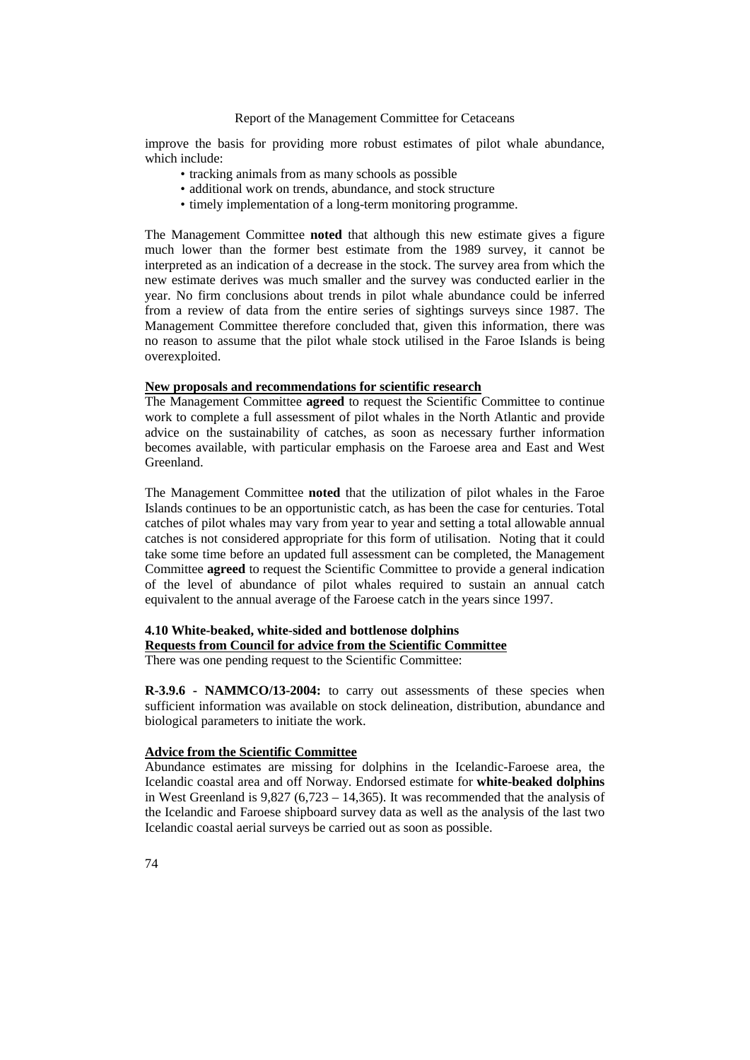improve the basis for providing more robust estimates of pilot whale abundance, which include:

- tracking animals from as many schools as possible
- additional work on trends, abundance, and stock structure
- timely implementation of a long-term monitoring programme.

The Management Committee **noted** that although this new estimate gives a figure much lower than the former best estimate from the 1989 survey, it cannot be interpreted as an indication of a decrease in the stock. The survey area from which the new estimate derives was much smaller and the survey was conducted earlier in the year. No firm conclusions about trends in pilot whale abundance could be inferred from a review of data from the entire series of sightings surveys since 1987. The Management Committee therefore concluded that, given this information, there was no reason to assume that the pilot whale stock utilised in the Faroe Islands is being overexploited.

#### **New proposals and recommendations for scientific research**

The Management Committee **agreed** to request the Scientific Committee to continue work to complete a full assessment of pilot whales in the North Atlantic and provide advice on the sustainability of catches, as soon as necessary further information becomes available, with particular emphasis on the Faroese area and East and West Greenland.

The Management Committee **noted** that the utilization of pilot whales in the Faroe Islands continues to be an opportunistic catch, as has been the case for centuries. Total catches of pilot whales may vary from year to year and setting a total allowable annual catches is not considered appropriate for this form of utilisation. Noting that it could take some time before an updated full assessment can be completed, the Management Committee **agreed** to request the Scientific Committee to provide a general indication of the level of abundance of pilot whales required to sustain an annual catch equivalent to the annual average of the Faroese catch in the years since 1997.

# **4.10 White-beaked, white-sided and bottlenose dolphins Requests from Council for advice from the Scientific Committee**

There was one pending request to the Scientific Committee:

**R-3.9.6 - NAMMCO/13-2004:** to carry out assessments of these species when sufficient information was available on stock delineation, distribution, abundance and biological parameters to initiate the work.

#### **Advice from the Scientific Committee**

Abundance estimates are missing for dolphins in the Icelandic-Faroese area, the Icelandic coastal area and off Norway. Endorsed estimate for **white-beaked dolphins** in West Greenland is 9,827 (6,723 – 14,365). It was recommended that the analysis of the Icelandic and Faroese shipboard survey data as well as the analysis of the last two Icelandic coastal aerial surveys be carried out as soon as possible.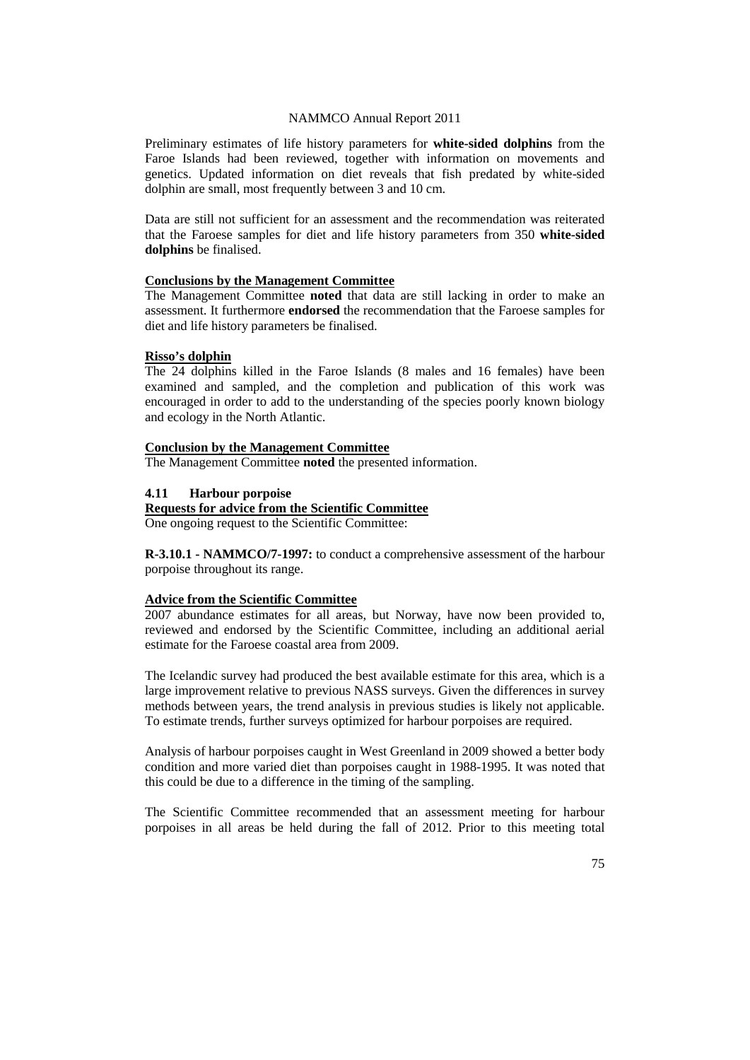Preliminary estimates of life history parameters for **white-sided dolphins** from the Faroe Islands had been reviewed, together with information on movements and genetics. Updated information on diet reveals that fish predated by white-sided dolphin are small, most frequently between 3 and 10 cm.

Data are still not sufficient for an assessment and the recommendation was reiterated that the Faroese samples for diet and life history parameters from 350 **white-sided dolphins** be finalised.

#### **Conclusions by the Management Committee**

The Management Committee **noted** that data are still lacking in order to make an assessment. It furthermore **endorsed** the recommendation that the Faroese samples for diet and life history parameters be finalised.

#### **Risso's dolphin**

The 24 dolphins killed in the Faroe Islands (8 males and 16 females) have been examined and sampled, and the completion and publication of this work was encouraged in order to add to the understanding of the species poorly known biology and ecology in the North Atlantic.

#### **Conclusion by the Management Committee**

The Management Committee **noted** the presented information.

# **4.11 Harbour porpoise**

#### **Requests for advice from the Scientific Committee**

One ongoing request to the Scientific Committee:

**R-3.10.1 - NAMMCO/7-1997:** to conduct a comprehensive assessment of the harbour porpoise throughout its range.

## **Advice from the Scientific Committee**

2007 abundance estimates for all areas, but Norway, have now been provided to, reviewed and endorsed by the Scientific Committee, including an additional aerial estimate for the Faroese coastal area from 2009.

The Icelandic survey had produced the best available estimate for this area, which is a large improvement relative to previous NASS surveys. Given the differences in survey methods between years, the trend analysis in previous studies is likely not applicable. To estimate trends, further surveys optimized for harbour porpoises are required.

Analysis of harbour porpoises caught in West Greenland in 2009 showed a better body condition and more varied diet than porpoises caught in 1988-1995. It was noted that this could be due to a difference in the timing of the sampling.

The Scientific Committee recommended that an assessment meeting for harbour porpoises in all areas be held during the fall of 2012. Prior to this meeting total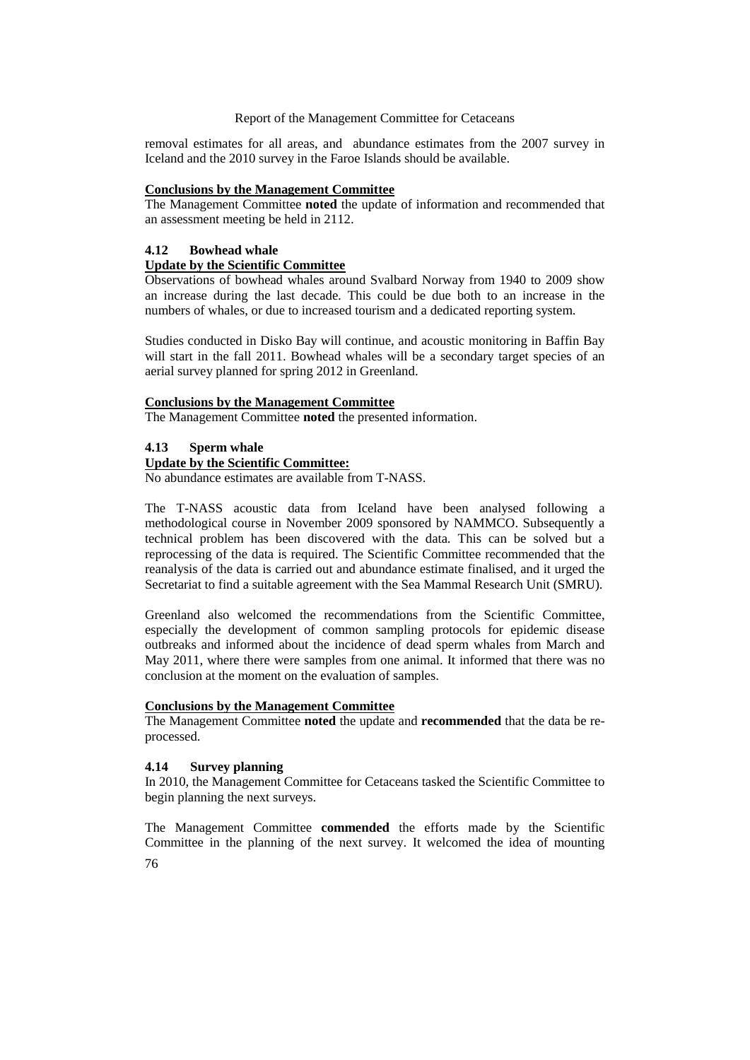removal estimates for all areas, and abundance estimates from the 2007 survey in Iceland and the 2010 survey in the Faroe Islands should be available.

#### **Conclusions by the Management Committee**

The Management Committee **noted** the update of information and recommended that an assessment meeting be held in 2112.

## **4.12 Bowhead whale**

## **Update by the Scientific Committee**

Observations of bowhead whales around Svalbard Norway from 1940 to 2009 show an increase during the last decade. This could be due both to an increase in the numbers of whales, or due to increased tourism and a dedicated reporting system.

Studies conducted in Disko Bay will continue, and acoustic monitoring in Baffin Bay will start in the fall 2011. Bowhead whales will be a secondary target species of an aerial survey planned for spring 2012 in Greenland.

## **Conclusions by the Management Committee**

The Management Committee **noted** the presented information.

## **4.13 Sperm whale**

## **Update by the Scientific Committee:**

No abundance estimates are available from T-NASS.

The T-NASS acoustic data from Iceland have been analysed following a methodological course in November 2009 sponsored by NAMMCO. Subsequently a technical problem has been discovered with the data. This can be solved but a reprocessing of the data is required. The Scientific Committee recommended that the reanalysis of the data is carried out and abundance estimate finalised, and it urged the Secretariat to find a suitable agreement with the Sea Mammal Research Unit (SMRU).

Greenland also welcomed the recommendations from the Scientific Committee, especially the development of common sampling protocols for epidemic disease outbreaks and informed about the incidence of dead sperm whales from March and May 2011, where there were samples from one animal. It informed that there was no conclusion at the moment on the evaluation of samples.

#### **Conclusions by the Management Committee**

The Management Committee **noted** the update and **recommended** that the data be reprocessed.

## **4.14 Survey planning**

In 2010, the Management Committee for Cetaceans tasked the Scientific Committee to begin planning the next surveys.

76 The Management Committee **commended** the efforts made by the Scientific Committee in the planning of the next survey. It welcomed the idea of mounting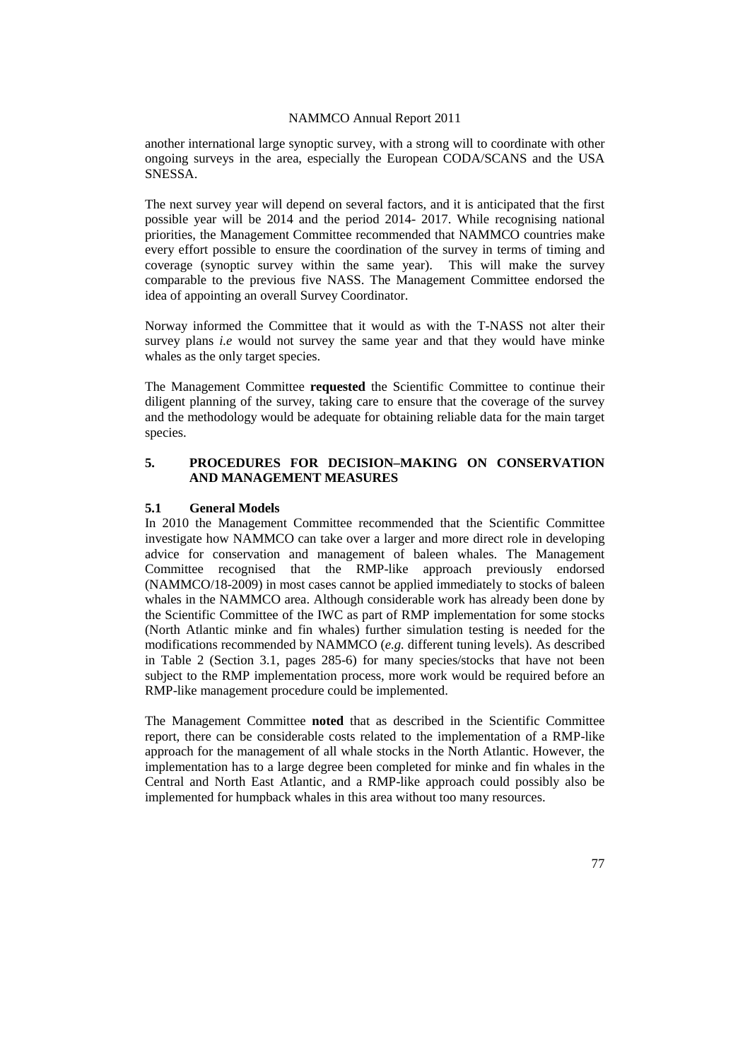another international large synoptic survey, with a strong will to coordinate with other ongoing surveys in the area, especially the European CODA/SCANS and the USA SNESSA.

The next survey year will depend on several factors, and it is anticipated that the first possible year will be 2014 and the period 2014- 2017. While recognising national priorities, the Management Committee recommended that NAMMCO countries make every effort possible to ensure the coordination of the survey in terms of timing and coverage (synoptic survey within the same year). This will make the survey comparable to the previous five NASS. The Management Committee endorsed the idea of appointing an overall Survey Coordinator.

Norway informed the Committee that it would as with the T-NASS not alter their survey plans *i.e* would not survey the same year and that they would have minke whales as the only target species.

The Management Committee **requested** the Scientific Committee to continue their diligent planning of the survey, taking care to ensure that the coverage of the survey and the methodology would be adequate for obtaining reliable data for the main target species.

# **5. PROCEDURES FOR DECISION–MAKING ON CONSERVATION AND MANAGEMENT MEASURES**

#### **5.1 General Models**

In 2010 the Management Committee recommended that the Scientific Committee investigate how NAMMCO can take over a larger and more direct role in developing advice for conservation and management of baleen whales. The Management Committee recognised that the RMP-like approach previously endorsed (NAMMCO/18-2009) in most cases cannot be applied immediately to stocks of baleen whales in the NAMMCO area. Although considerable work has already been done by the Scientific Committee of the IWC as part of RMP implementation for some stocks (North Atlantic minke and fin whales) further simulation testing is needed for the modifications recommended by NAMMCO (*e.g.* different tuning levels). As described in Table 2 (Section 3.1, pages 285-6) for many species/stocks that have not been subject to the RMP implementation process, more work would be required before an RMP-like management procedure could be implemented.

The Management Committee **noted** that as described in the Scientific Committee report, there can be considerable costs related to the implementation of a RMP-like approach for the management of all whale stocks in the North Atlantic. However, the implementation has to a large degree been completed for minke and fin whales in the Central and North East Atlantic, and a RMP-like approach could possibly also be implemented for humpback whales in this area without too many resources.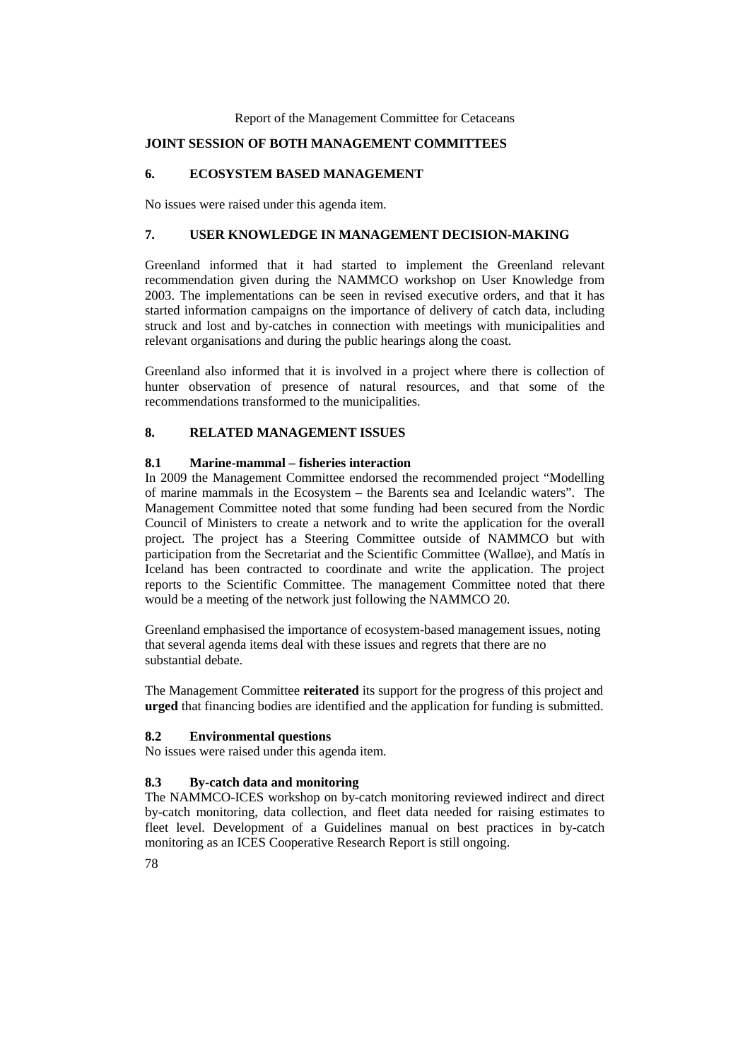# **JOINT SESSION OF BOTH MANAGEMENT COMMITTEES**

## **6. ECOSYSTEM BASED MANAGEMENT**

No issues were raised under this agenda item.

## **7. USER KNOWLEDGE IN MANAGEMENT DECISION-MAKING**

Greenland informed that it had started to implement the Greenland relevant recommendation given during the NAMMCO workshop on User Knowledge from 2003. The implementations can be seen in revised executive orders, and that it has started information campaigns on the importance of delivery of catch data, including struck and lost and by-catches in connection with meetings with municipalities and relevant organisations and during the public hearings along the coast.

Greenland also informed that it is involved in a project where there is collection of hunter observation of presence of natural resources, and that some of the recommendations transformed to the municipalities.

## **8. RELATED MANAGEMENT ISSUES**

## **8.1 Marine-mammal – fisheries interaction**

In 2009 the Management Committee endorsed the recommended project "Modelling of marine mammals in the Ecosystem – the Barents sea and Icelandic waters". The Management Committee noted that some funding had been secured from the Nordic Council of Ministers to create a network and to write the application for the overall project. The project has a Steering Committee outside of NAMMCO but with participation from the Secretariat and the Scientific Committee (Walløe), and Matís in Iceland has been contracted to coordinate and write the application. The project reports to the Scientific Committee. The management Committee noted that there would be a meeting of the network just following the NAMMCO 20.

Greenland emphasised the importance of ecosystem-based management issues, noting that several agenda items deal with these issues and regrets that there are no substantial debate.

The Management Committee **reiterated** its support for the progress of this project and **urged** that financing bodies are identified and the application for funding is submitted.

## **8.2 Environmental questions**

No issues were raised under this agenda item.

## **8.3 By-catch data and monitoring**

The NAMMCO-ICES workshop on by-catch monitoring reviewed indirect and direct by-catch monitoring, data collection, and fleet data needed for raising estimates to fleet level. Development of a Guidelines manual on best practices in by-catch monitoring as an ICES Cooperative Research Report is still ongoing.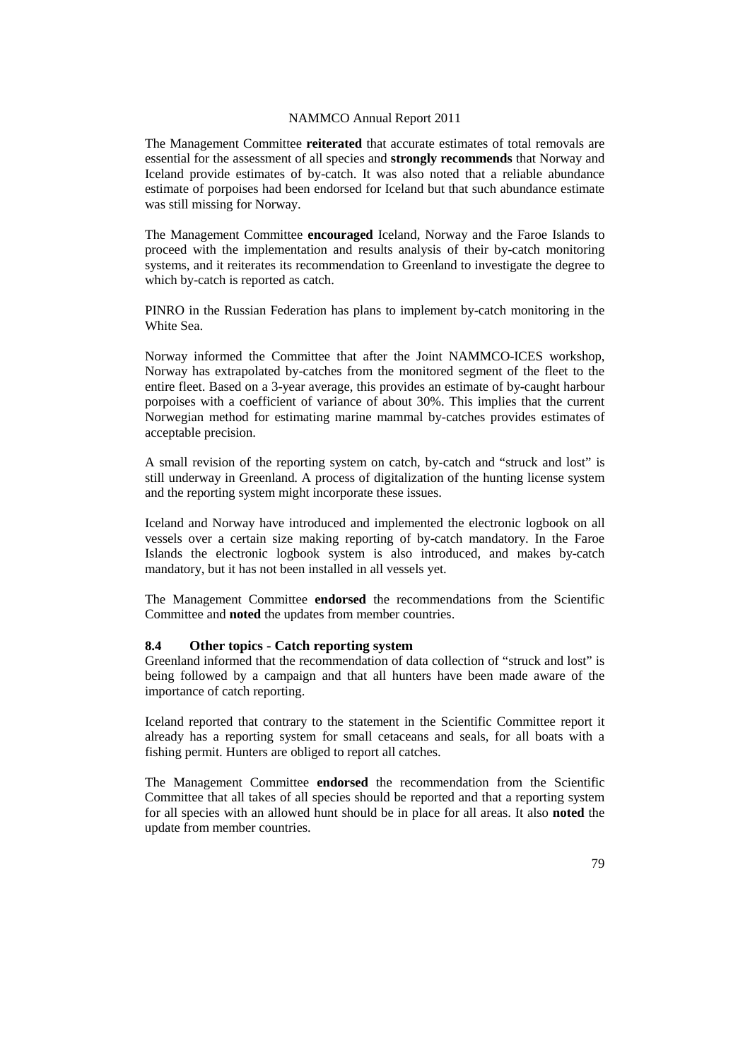The Management Committee **reiterated** that accurate estimates of total removals are essential for the assessment of all species and **strongly recommends** that Norway and Iceland provide estimates of by-catch. It was also noted that a reliable abundance estimate of porpoises had been endorsed for Iceland but that such abundance estimate was still missing for Norway.

The Management Committee **encouraged** Iceland, Norway and the Faroe Islands to proceed with the implementation and results analysis of their by-catch monitoring systems, and it reiterates its recommendation to Greenland to investigate the degree to which by-catch is reported as catch.

PINRO in the Russian Federation has plans to implement by-catch monitoring in the White Sea.

Norway informed the Committee that after the Joint NAMMCO-ICES workshop, Norway has extrapolated by-catches from the monitored segment of the fleet to the entire fleet. Based on a 3-year average, this provides an estimate of by-caught harbour porpoises with a coefficient of variance of about 30%. This implies that the current Norwegian method for estimating marine mammal by-catches provides estimates of acceptable precision.

A small revision of the reporting system on catch, by-catch and "struck and lost" is still underway in Greenland. A process of digitalization of the hunting license system and the reporting system might incorporate these issues.

Iceland and Norway have introduced and implemented the electronic logbook on all vessels over a certain size making reporting of by-catch mandatory. In the Faroe Islands the electronic logbook system is also introduced, and makes by-catch mandatory, but it has not been installed in all vessels yet.

The Management Committee **endorsed** the recommendations from the Scientific Committee and **noted** the updates from member countries.

#### **8.4 Other topics - Catch reporting system**

Greenland informed that the recommendation of data collection of "struck and lost" is being followed by a campaign and that all hunters have been made aware of the importance of catch reporting.

Iceland reported that contrary to the statement in the Scientific Committee report it already has a reporting system for small cetaceans and seals, for all boats with a fishing permit. Hunters are obliged to report all catches.

The Management Committee **endorsed** the recommendation from the Scientific Committee that all takes of all species should be reported and that a reporting system for all species with an allowed hunt should be in place for all areas. It also **noted** the update from member countries.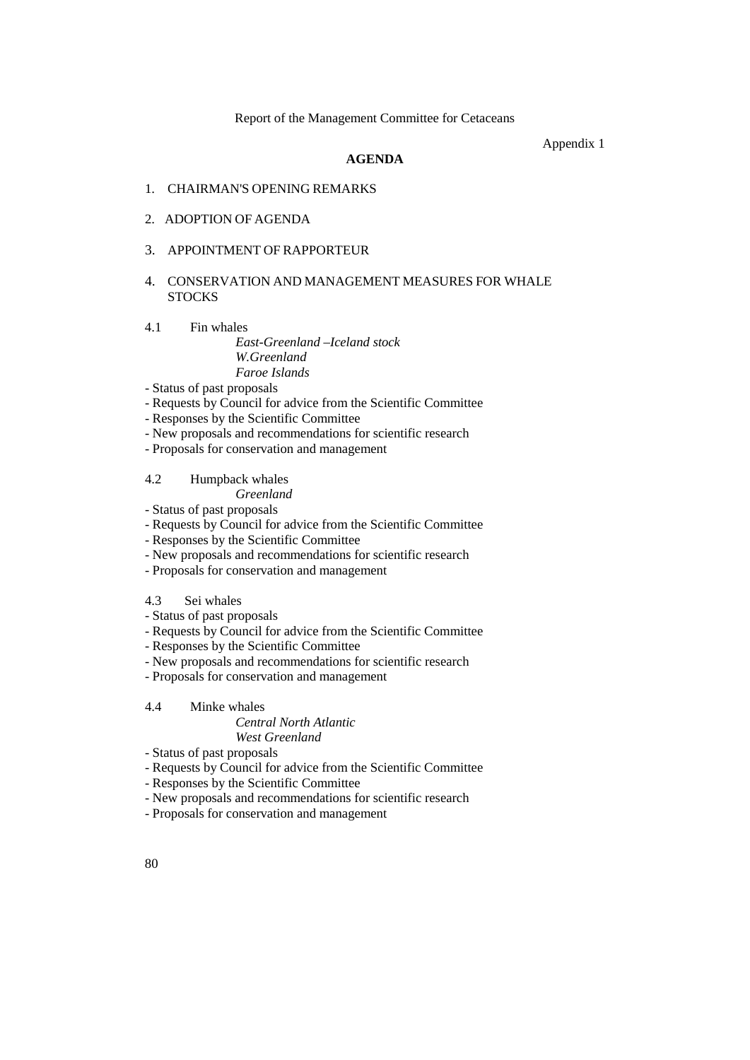Appendix 1

## **AGENDA**

- 1. CHAIRMAN'S OPENING REMARKS
- 2. ADOPTION OF AGENDA
- 3. APPOINTMENT OF RAPPORTEUR

## 4. CONSERVATION AND MANAGEMENT MEASURES FOR WHALE **STOCKS**

4.1 Fin whales

*East-Greenland –Iceland stock W.Greenland Faroe Islands*

- Status of past proposals
- Requests by Council for advice from the Scientific Committee
- Responses by the Scientific Committee
- New proposals and recommendations for scientific research
- Proposals for conservation and management

# 4.2 Humpback whales

# *Greenland*

- Status of past proposals
- Requests by Council for advice from the Scientific Committee
- Responses by the Scientific Committee
- New proposals and recommendations for scientific research
- Proposals for conservation and management

# 4.3 Sei whales

- Status of past proposals
- Requests by Council for advice from the Scientific Committee
- Responses by the Scientific Committee
- New proposals and recommendations for scientific research
- Proposals for conservation and management
- 4.4 Minke whales

# *Central North Atlantic West Greenland*

- Status of past proposals
- Requests by Council for advice from the Scientific Committee
- Responses by the Scientific Committee
- New proposals and recommendations for scientific research
- Proposals for conservation and management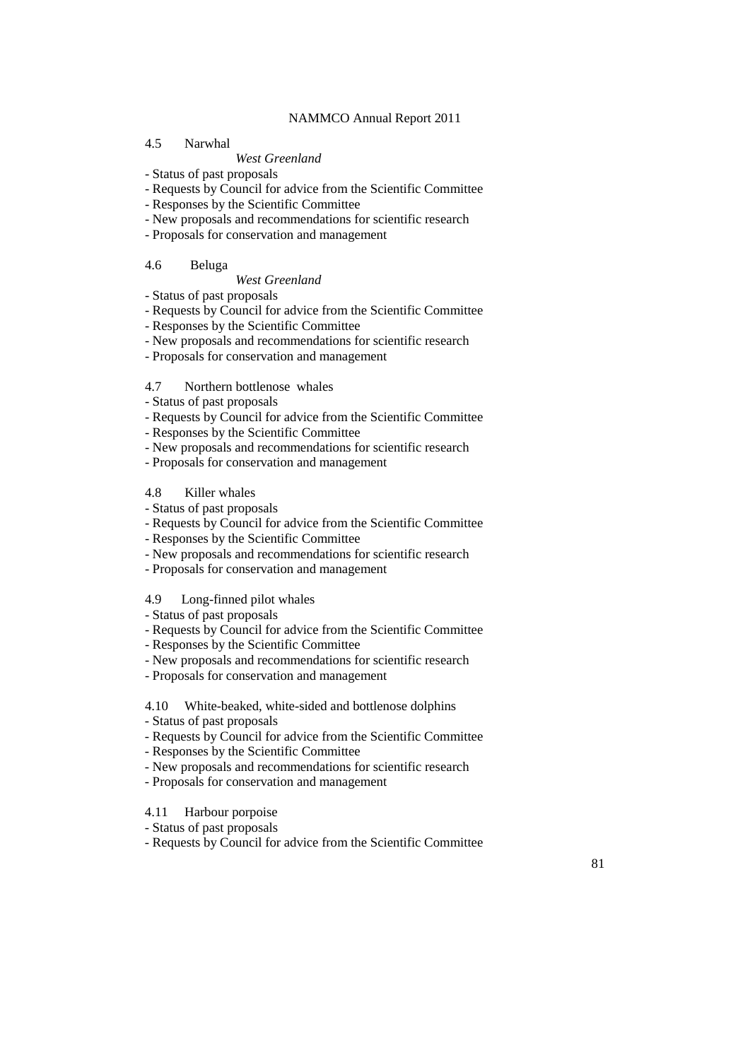#### 4.5 Narwhal

#### *West Greenland*

- Status of past proposals
- Requests by Council for advice from the Scientific Committee
- Responses by the Scientific Committee
- New proposals and recommendations for scientific research
- Proposals for conservation and management

#### 4.6 Beluga

#### *West Greenland*

- Status of past proposals
- Requests by Council for advice from the Scientific Committee
- Responses by the Scientific Committee
- New proposals and recommendations for scientific research
- Proposals for conservation and management

## 4.7 Northern bottlenose whales

- Status of past proposals
- Requests by Council for advice from the Scientific Committee
- Responses by the Scientific Committee
- New proposals and recommendations for scientific research
- Proposals for conservation and management

## 4.8 Killer whales

- Status of past proposals
- Requests by Council for advice from the Scientific Committee
- Responses by the Scientific Committee
- New proposals and recommendations for scientific research
- Proposals for conservation and management

## 4.9 Long-finned pilot whales

- Status of past proposals
- Requests by Council for advice from the Scientific Committee
- Responses by the Scientific Committee
- New proposals and recommendations for scientific research
- Proposals for conservation and management

#### 4.10 White-beaked, white-sided and bottlenose dolphins

- Status of past proposals
- Requests by Council for advice from the Scientific Committee
- Responses by the Scientific Committee
- New proposals and recommendations for scientific research
- Proposals for conservation and management
- 4.11 Harbour porpoise
- Status of past proposals
- Requests by Council for advice from the Scientific Committee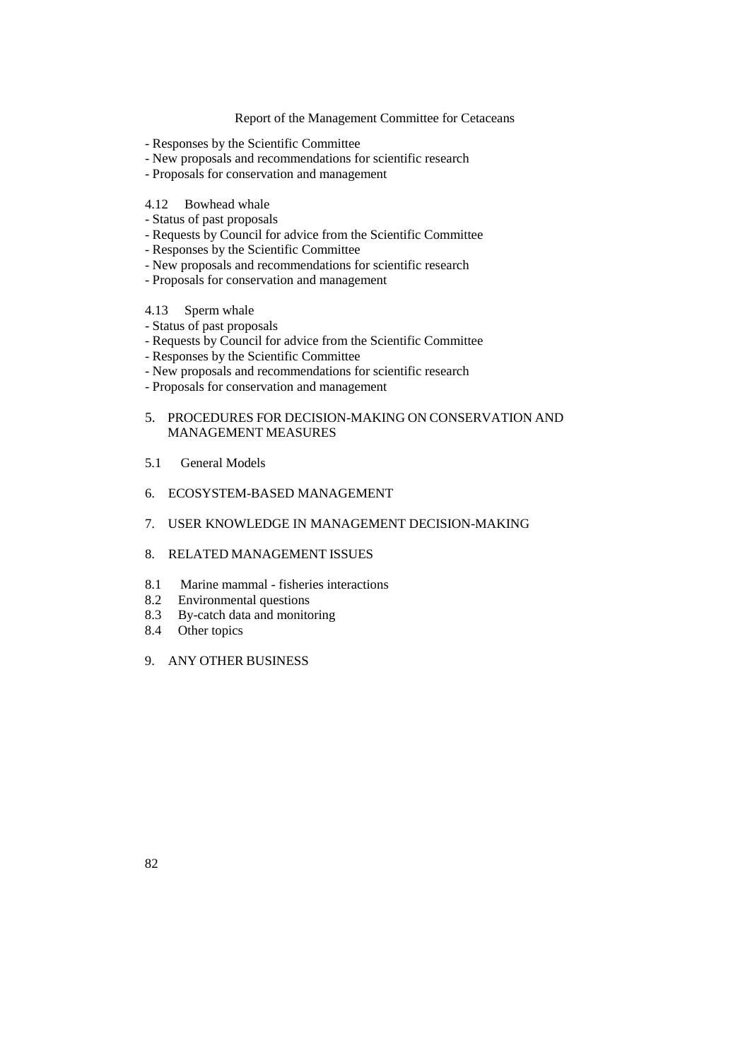- Responses by the Scientific Committee
- New proposals and recommendations for scientific research
- Proposals for conservation and management
- 4.12 Bowhead whale
- Status of past proposals
- Requests by Council for advice from the Scientific Committee
- Responses by the Scientific Committee
- New proposals and recommendations for scientific research
- Proposals for conservation and management
- 4.13 Sperm whale
- Status of past proposals
- Requests by Council for advice from the Scientific Committee
- Responses by the Scientific Committee
- New proposals and recommendations for scientific research
- Proposals for conservation and management
- 5. PROCEDURES FOR DECISION-MAKING ON CONSERVATION AND MANAGEMENT MEASURES
- 5.1 General Models
- 6. ECOSYSTEM-BASED MANAGEMENT
- 7. USER KNOWLEDGE IN MANAGEMENT DECISION-MAKING
- 8. RELATED MANAGEMENT ISSUES
- 8.1 Marine mammal fisheries interactions<br>8.2 Environmental questions
- 8.2 Environmental questions<br>8.3 By-catch data and monito
- By-catch data and monitoring
- 8.4 Other topics
- 9. ANY OTHER BUSINESS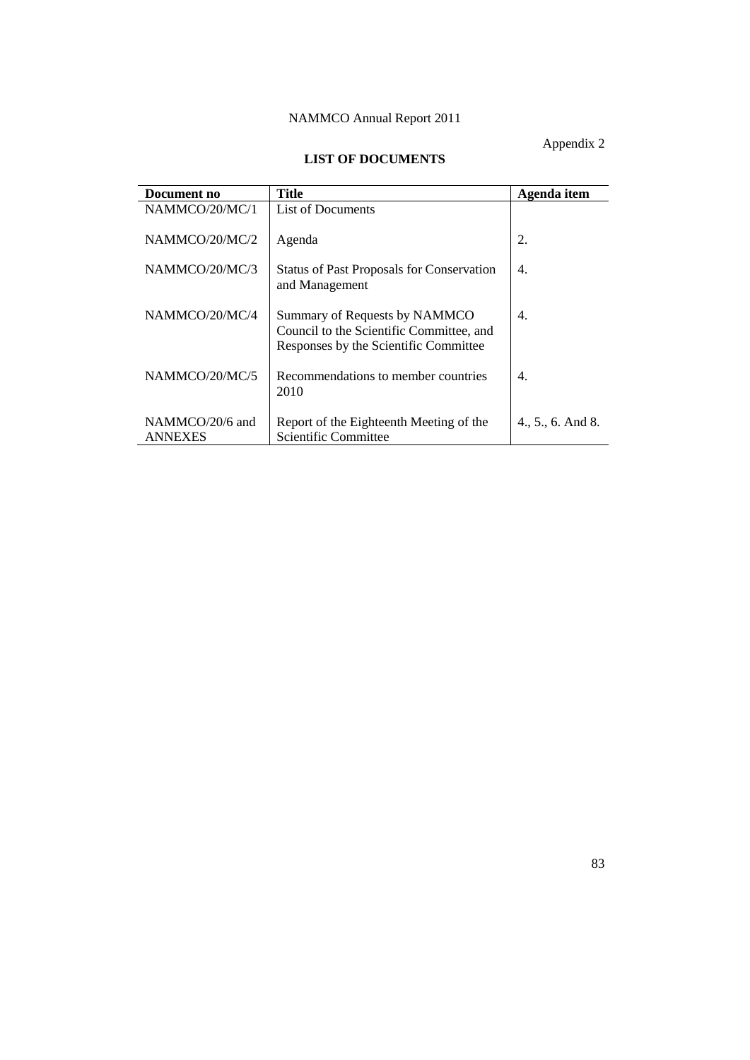Appendix 2

# **LIST OF DOCUMENTS**

| Document no                       | <b>Title</b>                                                                                                       | Agenda item       |
|-----------------------------------|--------------------------------------------------------------------------------------------------------------------|-------------------|
| NAMMCO/20/MC/1                    | List of Documents                                                                                                  |                   |
| NAMMCO/20/MC/2                    | Agenda                                                                                                             | 2.                |
| NAMMCO/20/MC/3                    | <b>Status of Past Proposals for Conservation</b><br>and Management                                                 | 4.                |
| NAMMCO/20/MC/4                    | Summary of Requests by NAMMCO<br>Council to the Scientific Committee, and<br>Responses by the Scientific Committee | 4.                |
| NAMMCO/20/MC/5                    | Recommendations to member countries<br>2010                                                                        | 4.                |
| NAMMCO/20/6 and<br><b>ANNEXES</b> | Report of the Eighteenth Meeting of the<br>Scientific Committee                                                    | 4., 5., 6. And 8. |